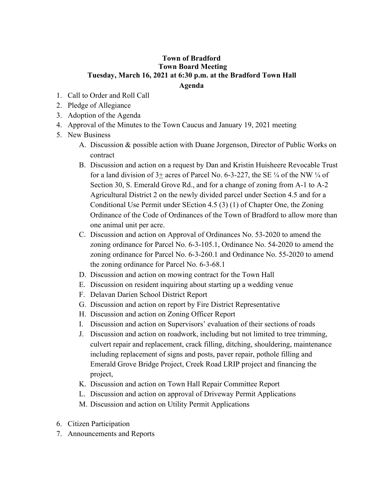## **Town of Bradford Town Board Meeting Tuesday, March 16, 2021 at 6:30 p.m. at the Bradford Town Hall Agenda**

- 1. Call to Order and Roll Call
- 2. Pledge of Allegiance
- 3. Adoption of the Agenda
- 4. Approval of the Minutes to the Town Caucus and January 19, 2021 meeting
- 5. New Business
	- A. Discussion & possible action with Duane Jorgenson, Director of Public Works on contract
	- B. Discussion and action on a request by Dan and Kristin Huisheere Revocable Trust for a land division of  $3+$  acres of Parcel No. 6-3-227, the SE  $\frac{1}{4}$  of the NW  $\frac{1}{4}$  of Section 30, S. Emerald Grove Rd., and for a change of zoning from A-1 to A-2 Agricultural District 2 on the newly divided parcel under Section 4.5 and for a Conditional Use Permit under SEction 4.5 (3) (1) of Chapter One, the Zoning Ordinance of the Code of Ordinances of the Town of Bradford to allow more than one animal unit per acre.
	- C. Discussion and action on Approval of Ordinances No. 53-2020 to amend the zoning ordinance for Parcel No. 6-3-105.1, Ordinance No. 54-2020 to amend the zoning ordinance for Parcel No. 6-3-260.1 and Ordinance No. 55-2020 to amend the zoning ordinance for Parcel No. 6-3-68.1
	- D. Discussion and action on mowing contract for the Town Hall
	- E. Discussion on resident inquiring about starting up a wedding venue
	- F. Delavan Darien School District Report
	- G. Discussion and action on report by Fire District Representative
	- H. Discussion and action on Zoning Officer Report
	- I. Discussion and action on Supervisors' evaluation of their sections of roads
	- J. Discussion and action on roadwork, including but not limited to tree trimming, culvert repair and replacement, crack filling, ditching, shouldering, maintenance including replacement of signs and posts, paver repair, pothole filling and Emerald Grove Bridge Project, Creek Road LRIP project and financing the project,
	- K. Discussion and action on Town Hall Repair Committee Report
	- L. Discussion and action on approval of Driveway Permit Applications
	- M. Discussion and action on Utility Permit Applications
- 6. Citizen Participation
- 7. Announcements and Reports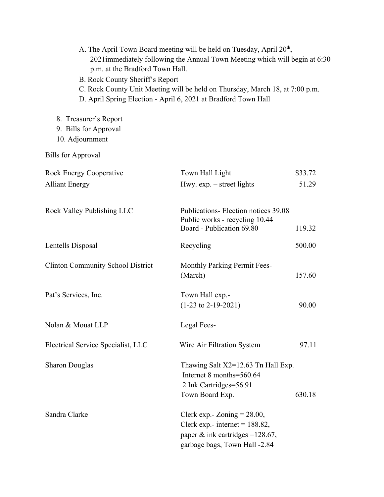| p.m. at the Bradford Town Hall.<br>B. Rock County Sheriff's Report | A. The April Town Board meeting will be held on Tuesday, April $20th$ ,<br>2021 immediately following the Annual Town Meeting which will begin at 6:30<br>C. Rock County Unit Meeting will be held on Thursday, March 18, at 7:00 p.m.<br>D. April Spring Election - April 6, 2021 at Bradford Town Hall |         |
|--------------------------------------------------------------------|----------------------------------------------------------------------------------------------------------------------------------------------------------------------------------------------------------------------------------------------------------------------------------------------------------|---------|
| 8. Treasurer's Report<br>9. Bills for Approval<br>10. Adjournment  |                                                                                                                                                                                                                                                                                                          |         |
| <b>Bills for Approval</b>                                          |                                                                                                                                                                                                                                                                                                          |         |
| <b>Rock Energy Cooperative</b>                                     | Town Hall Light                                                                                                                                                                                                                                                                                          | \$33.72 |
| <b>Alliant Energy</b>                                              | Hwy. $exp. - street$ lights                                                                                                                                                                                                                                                                              | 51.29   |
| <b>Rock Valley Publishing LLC</b>                                  | Publications- Election notices 39.08<br>Public works - recycling 10.44<br>Board - Publication 69.80                                                                                                                                                                                                      | 119.32  |
| Lentells Disposal                                                  | Recycling                                                                                                                                                                                                                                                                                                | 500.00  |
| <b>Clinton Community School District</b>                           | Monthly Parking Permit Fees-<br>(March)                                                                                                                                                                                                                                                                  | 157.60  |
| Pat's Services, Inc.                                               | Town Hall exp.-<br>$(1-23 \text{ to } 2-19-2021)$                                                                                                                                                                                                                                                        | 90.00   |
| Nolan & Mouat LLP                                                  | Legal Fees-                                                                                                                                                                                                                                                                                              |         |
| <b>Electrical Service Specialist, LLC</b>                          | Wire Air Filtration System                                                                                                                                                                                                                                                                               | 97.11   |
| <b>Sharon Douglas</b>                                              | Thawing Salt X2=12.63 Tn Hall Exp.<br>Internet 8 months=560.64<br>2 Ink Cartridges=56.91<br>Town Board Exp.<br>630.18                                                                                                                                                                                    |         |
| Sandra Clarke                                                      | Clerk exp.- Zoning $= 28.00$ ,<br>Clerk exp.- internet = $188.82$ ,<br>paper & ink cartridges = $128.67$ ,<br>garbage bags, Town Hall -2.84                                                                                                                                                              |         |